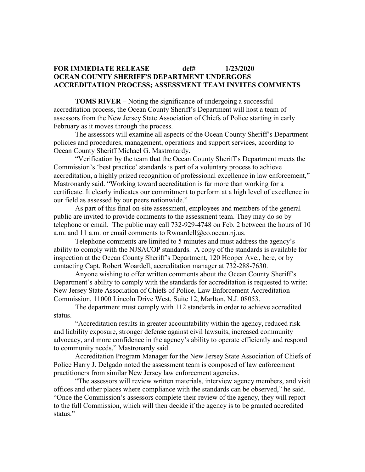## **FOR IMMEDIATE RELEASE def# 1/23/2020 OCEAN COUNTY SHERIFF'S DEPARTMENT UNDERGOES ACCREDITATION PROCESS; ASSESSMENT TEAM INVITES COMMENTS**

**TOMS RIVER –** Noting the significance of undergoing a successful accreditation process, the Ocean County Sheriff's Department will host a team of assessors from the New Jersey State Association of Chiefs of Police starting in early February as it moves through the process.

The assessors will examine all aspects of the Ocean County Sheriff's Department policies and procedures, management, operations and support services, according to Ocean County Sheriff Michael G. Mastronardy.

"Verification by the team that the Ocean County Sheriff's Department meets the Commission's 'best practice' standards is part of a voluntary process to achieve accreditation, a highly prized recognition of professional excellence in law enforcement," Mastronardy said. "Working toward accreditation is far more than working for a certificate. It clearly indicates our commitment to perform at a high level of excellence in our field as assessed by our peers nationwide."

As part of this final on-site assessment, employees and members of the general public are invited to provide comments to the assessment team. They may do so by telephone or email. The public may call 732-929-4748 on Feb. 2 between the hours of 10 a.m. and 11 a.m. or email comments to Rwoardell@co.ocean.nj.us.

Telephone comments are limited to 5 minutes and must address the agency's ability to comply with the NJSACOP standards. A copy of the standards is available for inspection at the Ocean County Sheriff's Department, 120 Hooper Ave., here, or by contacting Capt. Robert Woardell, accreditation manager at 732-288-7630.

Anyone wishing to offer written comments about the Ocean County Sheriff's Department's ability to comply with the standards for accreditation is requested to write: New Jersey State Association of Chiefs of Police, Law Enforcement Accreditation Commission, 11000 Lincoln Drive West, Suite 12, Marlton, N.J. 08053.

The department must comply with 112 standards in order to achieve accredited status.

"Accreditation results in greater accountability within the agency, reduced risk and liability exposure, stronger defense against civil lawsuits, increased community advocacy, and more confidence in the agency's ability to operate efficiently and respond to community needs," Mastronardy said.

Accreditation Program Manager for the New Jersey State Association of Chiefs of Police Harry J. Delgado noted the assessment team is composed of law enforcement practitioners from similar New Jersey law enforcement agencies.

"The assessors will review written materials, interview agency members, and visit offices and other places where compliance with the standards can be observed," he said. "Once the Commission's assessors complete their review of the agency, they will report to the full Commission, which will then decide if the agency is to be granted accredited status."